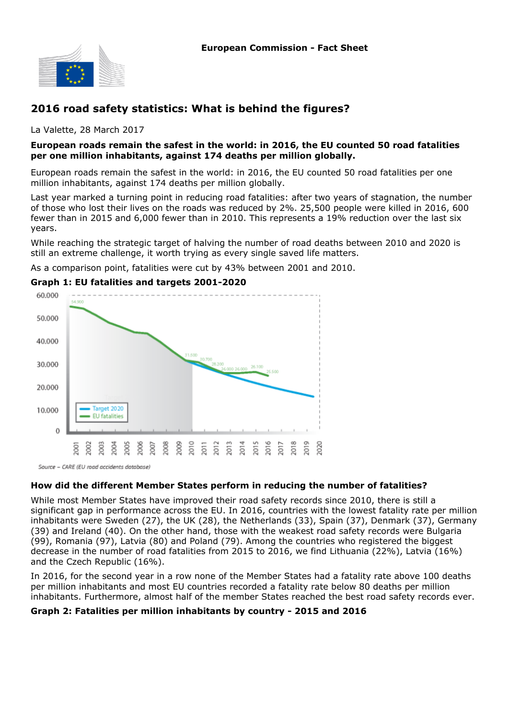

## **2016 road safety statistics: What is behind the figures?**

La Valette, 28 March 2017

#### **European roads remain the safest in the world: in 2016, the EU counted 50 road fatalities per one million inhabitants, against 174 deaths per million globally.**

European roads remain the safest in the world: in 2016, the EU counted 50 road fatalities per one million inhabitants, against 174 deaths per million globally.

Last year marked a turning point in reducing road fatalities: after two years of stagnation, the number of those who lost their lives on the roads was reduced by 2%. 25,500 people were killed in 2016, 600 fewer than in 2015 and 6,000 fewer than in 2010. This represents a 19% reduction over the last six years.

While reaching the strategic target of halving the number of road deaths between 2010 and 2020 is still an extreme challenge, it worth trying as every single saved life matters.

As a comparison point, fatalities were cut by 43% between 2001 and 2010.

## **Graph 1: EU fatalities and targets 2001-2020**



Source - CARE (EU road accidents database)

## **How did the different Member States perform in reducing the number of fatalities?**

While most Member States have improved their road safety records since 2010, there is still a significant gap in performance across the EU. In 2016, countries with the lowest fatality rate per million inhabitants were Sweden (27), the UK (28), the Netherlands (33), Spain (37), Denmark (37), Germany (39) and Ireland (40). On the other hand, those with the weakest road safety records were Bulgaria (99), Romania (97), Latvia (80) and Poland (79). Among the countries who registered the biggest decrease in the number of road fatalities from 2015 to 2016, we find Lithuania (22%), Latvia (16%) and the Czech Republic (16%).

In 2016, for the second year in a row none of the Member States had a fatality rate above 100 deaths per million inhabitants and most EU countries recorded a fatality rate below 80 deaths per million inhabitants. Furthermore, almost half of the member States reached the best road safety records ever.

#### **Graph 2: Fatalities per million inhabitants by country - 2015 and 2016**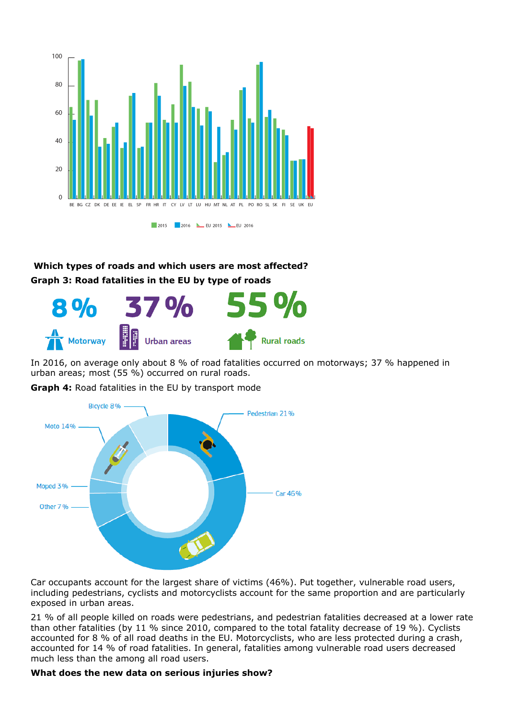

# **Which types of roads and which users are most affected? Graph 3: Road fatalities in the EU by type of roads**



In 2016, on average only about 8 % of road fatalities occurred on motorways; 37 % happened in urban areas; most (55 %) occurred on rural roads.

**Graph 4:** Road fatalities in the EU by transport mode



Car occupants account for the largest share of victims (46%). Put together, vulnerable road users, including pedestrians, cyclists and motorcyclists account for the same proportion and are particularly exposed in urban areas.

21 % of all people killed on roads were pedestrians, and pedestrian fatalities decreased at a lower rate than other fatalities (by 11 % since 2010, compared to the total fatality decrease of 19 %). Cyclists accounted for 8 % of all road deaths in the EU. Motorcyclists, who are less protected during a crash, accounted for 14 % of road fatalities. In general, fatalities among vulnerable road users decreased much less than the among all road users.

## **What does the new data on serious injuries show?**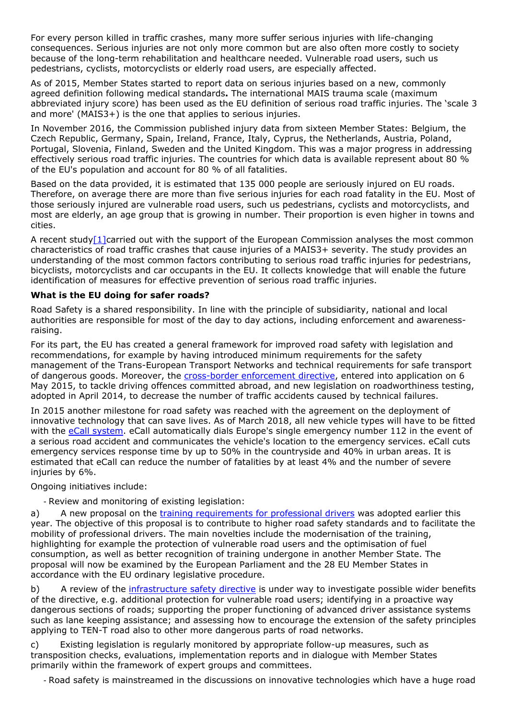For every person killed in traffic crashes, many more suffer serious injuries with life-changing consequences. Serious injuries are not only more common but are also often more costly to society because of the long-term rehabilitation and healthcare needed. Vulnerable road users, such us pedestrians, cyclists, motorcyclists or elderly road users, are especially affected.

As of 2015, Member States started to report data on serious injuries based on a new, commonly agreed definition following medical standards**.** The international MAIS trauma scale (maximum abbreviated injury score) has been used as the EU definition of serious road traffic injuries. The 'scale 3 and more' (MAIS3+) is the one that applies to serious injuries.

In November 2016, the Commission published injury data from sixteen Member States: Belgium, the Czech Republic, Germany, Spain, Ireland, France, Italy, Cyprus, the Netherlands, Austria, Poland, Portugal, Slovenia, Finland, Sweden and the United Kingdom. This was a major progress in addressing effectively serious road traffic injuries. The countries for which data is available represent about 80 % of the EU's population and account for 80 % of all fatalities.

Based on the data provided, it is estimated that 135 000 people are seriously injured on EU roads. Therefore, on average there are more than five serious injuries for each road fatality in the EU. Most of those seriously injured are vulnerable road users, such us pedestrians, cyclists and motorcyclists, and most are elderly, an age group that is growing in number. Their proportion is even higher in towns and cities.

A recent study[1]carried out with the support of the European Commission analyses the most common characteristics of road traffic crashes that cause injuries of a MAIS3+ severity. The study provides an understanding of the most common factors contributing to serious road traffic injuries for pedestrians, bicyclists, motorcyclists and car occupants in the EU. It collects knowledge that will enable the future identification of measures for effective prevention of serious road traffic injuries.

### **What is the EU doing for safer roads?**

Road Safety is a shared responsibility. In line with the principle of subsidiarity, national and local authorities are responsible for most of the day to day actions, including enforcement and awarenessraising.

For its part, the EU has created a general framework for improved road safety with legislation and recommendations, for example by having introduced minimum requirements for the safety management of the Trans-European Transport Networks and technical requirements for safe transport of dangerous goods. Moreover, the [cross-border enforcement directive](http://europa.eu/rapid/press-release_MEX-15-4360_en.htm), entered into application on 6 May 2015, to tackle driving offences committed abroad, and new legislation on roadworthiness testing, adopted in April 2014, to decrease the number of traffic accidents caused by technical failures.

In 2015 another milestone for road safety was reached with the agreement on the deployment of innovative technology that can save lives. As of March 2018, all new vehicle types will have to be fitted with the [eCall system](http://ec.europa.eu/transport/themes/its/road/action_plan/ecall_en.htm). eCall automatically dials Europe's single emergency number 112 in the event of a serious road accident and communicates the vehicle's location to the emergency services. eCall cuts emergency services response time by up to 50% in the countryside and 40% in urban areas. It is estimated that eCall can reduce the number of fatalities by at least 4% and the number of severe injuries by 6%.

Ongoing initiatives include:

- Review and monitoring of existing legislation:

a) A new proposal on the [training requirements for professional drivers](http://ec.europa.eu/transport/modes/road/access/index_en.htm) was adopted earlier this year. The objective of this proposal is to contribute to higher road safety standards and to facilitate the mobility of professional drivers. The main novelties include the modernisation of the training, highlighting for example the protection of vulnerable road users and the optimisation of fuel consumption, as well as better recognition of training undergone in another Member State. The proposal will now be examined by the European Parliament and the 28 EU Member States in accordance with the EU ordinary legislative procedure.

b) A review of the [infrastructure safety directive](http://eur-lex.europa.eu/legal-content/EN/ALL/?uri=CELEX%3A32008L0096) is under way to investigate possible wider benefits of the directive, e.g. additional protection for vulnerable road users; identifying in a proactive way dangerous sections of roads; supporting the proper functioning of advanced driver assistance systems such as lane keeping assistance; and assessing how to encourage the extension of the safety principles applying to TEN-T road also to other more dangerous parts of road networks.

c) Existing legislation is regularly monitored by appropriate follow-up measures, such as transposition checks, evaluations, implementation reports and in dialogue with Member States primarily within the framework of expert groups and committees.

- Road safety is mainstreamed in the discussions on innovative technologies which have a huge road